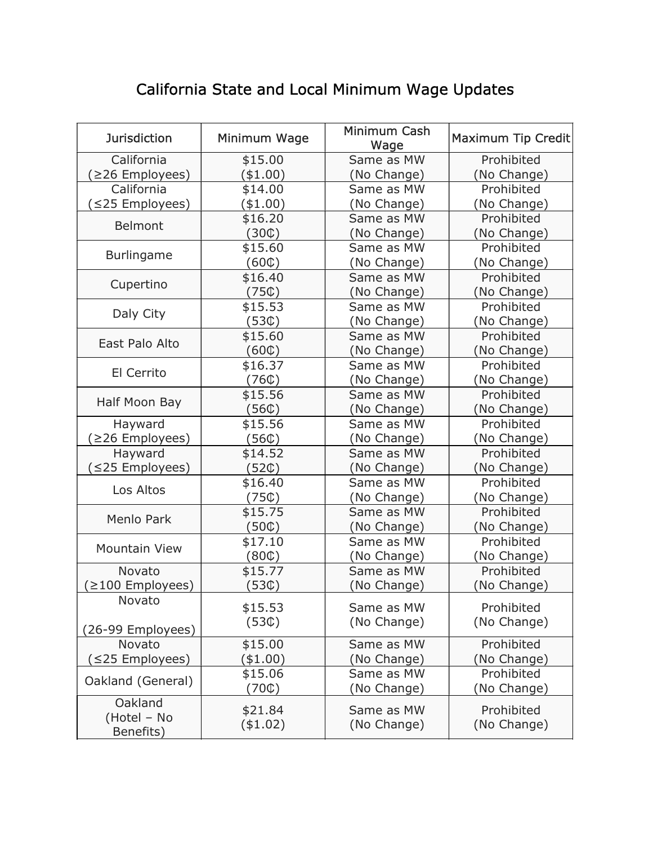## California State and Local Minimum Wage Updates

| <b>Jurisdiction</b>  | Minimum Wage     | Minimum Cash<br>Wage | Maximum Tip Credit |
|----------------------|------------------|----------------------|--------------------|
| California           | \$15.00          | Same as MW           | Prohibited         |
| ≥26 Employees)       | (\$1.00)         | (No Change)          | (No Change)        |
| California           | \$14.00          | Same as MW           | Prohibited         |
| (≤25 Employees)      | $(*1.00)$        | (No Change)          | (No Change)        |
| Belmont              | \$16.20          | Same as MW           | Prohibited         |
|                      | (30C)            | (No Change)          | (No Change)        |
| <b>Burlingame</b>    | \$15.60          | Same as MW           | Prohibited         |
|                      | (60C)            | (No Change)          | (No Change)        |
| Cupertino            | \$16.40          | Same as MW           | Prohibited         |
|                      | (75C)            | (No Change)          | (No Change)        |
| Daly City            | \$15.53          | Same as MW           | Prohibited         |
|                      | (530)            | (No Change)          | (No Change)        |
| East Palo Alto       | \$15.60          | Same as MW           | Prohibited         |
|                      | (60C)            | (No Change)          | (No Change)        |
| El Cerrito           | \$16.37          | Same as MW           | Prohibited         |
|                      | (760)            | (No Change)          | (No Change)        |
| Half Moon Bay        | \$15.56          | Same as MW           | Prohibited         |
|                      | (560)            | (No Change)          | (No Change)        |
| Hayward              | \$15.56          | Same as MW           | Prohibited         |
| ≥26 Employees)       | (560)            | (No Change)          | (No Change)        |
| Hayward              | \$14.52          | Same as MW           | Prohibited         |
| ≤25 Employees)       | (52¢)            | (No Change)          | (No Change)        |
| Los Altos            | \$16.40          | Same as MW           | Prohibited         |
|                      | (75C)            | (No Change)          | (No Change)        |
| <b>Menlo Park</b>    | \$15.75          | Same as MW           | Prohibited         |
|                      | $(50\mathbb{C})$ | (No Change)          | (No Change)        |
| <b>Mountain View</b> | \$17.10          | Same as MW           | Prohibited         |
|                      | (80C)            | (No Change)          | (No Change)        |
| Novato               | \$15.77          | Same as MW           | Prohibited         |
| ≥100 Employees)      | (53C)            | (No Change)          | (No Change)        |
| Novato               | \$15.53          | Same as MW           | Prohibited         |
|                      | (530)            | (No Change)          | (No Change)        |
| (26-99 Employees)    |                  |                      |                    |
| Novato               | \$15.00          | Same as MW           | Prohibited         |
| (≤25 Employees)      | (\$1.00)         | (No Change)          | (No Change)        |
| Oakland (General)    | \$15.06          | Same as MW           | Prohibited         |
|                      | (70C)            | (No Change)          | (No Change)        |
| Oakland              | \$21.84          | Same as MW           | Prohibited         |
| (Hotel - No          | ( \$1.02)        | (No Change)          | (No Change)        |
| Benefits)            |                  |                      |                    |